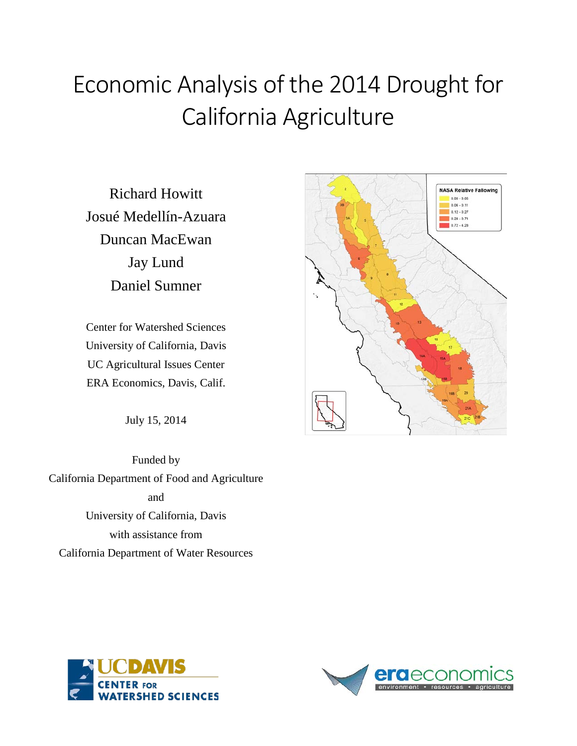# Economic Analysis of the 2014 Drought for California Agriculture

Richard Howitt Josué Medellín-Azuara Duncan MacEwan Jay Lund Daniel Sumner

Center for Watershed Sciences University of California, Davis UC Agricultural Issues Center ERA Economics, Davis, Calif.

July 15, 2014

Funded by California Department of Food and Agriculture and University of California, Davis with assistance from California Department of Water Resources





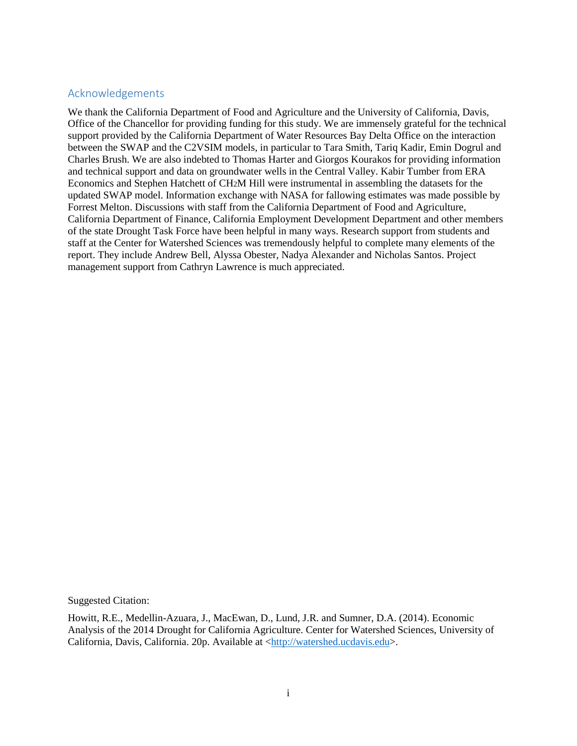#### Acknowledgements

We thank the California Department of Food and Agriculture and the University of California, Davis, Office of the Chancellor for providing funding for this study. We are immensely grateful for the technical support provided by the California Department of Water Resources Bay Delta Office on the interaction between the SWAP and the C2VSIM models, in particular to Tara Smith, Tariq Kadir, Emin Dogrul and Charles Brush. We are also indebted to Thomas Harter and Giorgos Kourakos for providing information and technical support and data on groundwater wells in the Central Valley. Kabir Tumber from ERA Economics and Stephen Hatchett of CH2M Hill were instrumental in assembling the datasets for the updated SWAP model. Information exchange with NASA for fallowing estimates was made possible by Forrest Melton. Discussions with staff from the California Department of Food and Agriculture, California Department of Finance, California Employment Development Department and other members of the state Drought Task Force have been helpful in many ways. Research support from students and staff at the Center for Watershed Sciences was tremendously helpful to complete many elements of the report. They include Andrew Bell, Alyssa Obester, Nadya Alexander and Nicholas Santos. Project management support from Cathryn Lawrence is much appreciated.

Suggested Citation:

Howitt, R.E., Medellin-Azuara, J., MacEwan, D., Lund, J.R. and Sumner, D.A. (2014). Economic Analysis of the 2014 Drought for California Agriculture. Center for Watershed Sciences, University of California, Davis, California. 20p. Available at [<http://watershed.ucdavis.edu>](http://watershed.ucdavis.edu/).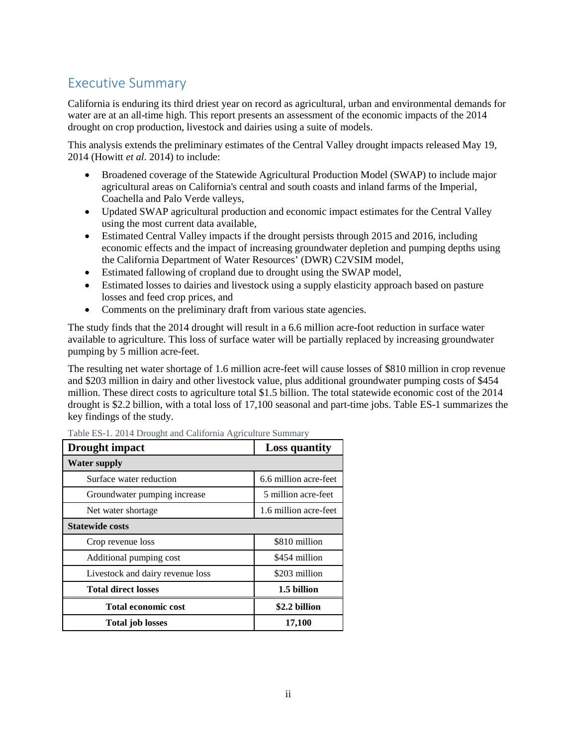## Executive Summary

California is enduring its third driest year on record as agricultural, urban and environmental demands for water are at an all-time high. This report presents an assessment of the economic impacts of the 2014 drought on crop production, livestock and dairies using a suite of models.

This analysis extends the preliminary estimates of the Central Valley drought impacts released May 19, 2014 (Howitt *et al.* 2014) to include:

- Broadened coverage of the Statewide Agricultural Production Model (SWAP) to include major agricultural areas on California's central and south coasts and inland farms of the Imperial, Coachella and Palo Verde valleys,
- Updated SWAP agricultural production and economic impact estimates for the Central Valley using the most current data available,
- Estimated Central Valley impacts if the drought persists through 2015 and 2016, including economic effects and the impact of increasing groundwater depletion and pumping depths using the California Department of Water Resources' (DWR) C2VSIM model,
- Estimated fallowing of cropland due to drought using the SWAP model,
- Estimated losses to dairies and livestock using a supply elasticity approach based on pasture losses and feed crop prices, and
- Comments on the preliminary draft from various state agencies.

The study finds that the 2014 drought will result in a 6.6 million acre-foot reduction in surface water available to agriculture. This loss of surface water will be partially replaced by increasing groundwater pumping by 5 million acre-feet.

The resulting net water shortage of 1.6 million acre-feet will cause losses of \$810 million in crop revenue and \$203 million in dairy and other livestock value, plus additional groundwater pumping costs of \$454 million. These direct costs to agriculture total \$1.5 billion. The total statewide economic cost of the 2014 drought is \$2.2 billion, with a total loss of 17,100 seasonal and part-time jobs. Table ES-1 summarizes the key findings of the study.

| Drought impact                   | <b>Loss quantity</b>  |
|----------------------------------|-----------------------|
| <b>Water supply</b>              |                       |
| Surface water reduction          | 6.6 million acre-feet |
| Groundwater pumping increase     | 5 million acre-feet   |
| Net water shortage               | 1.6 million acre-feet |
| <b>Statewide costs</b>           |                       |
| Crop revenue loss                | \$810 million         |
| Additional pumping cost          | \$454 million         |
| Livestock and dairy revenue loss | \$203 million         |
| Total direct losses              | 1.5 billion           |
| Total economic cost              | \$2.2 billion         |
| <b>Total job losses</b>          | 17,100                |

Table ES-1. 2014 Drought and California Agriculture Summary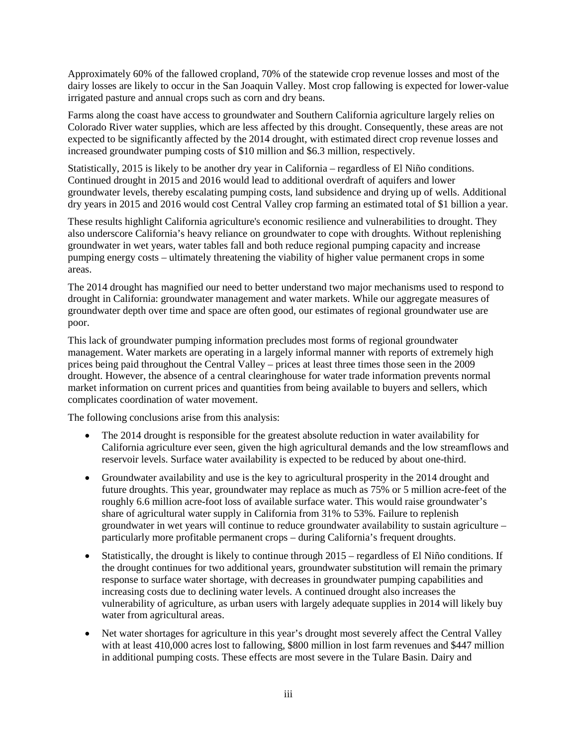Approximately 60% of the fallowed cropland, 70% of the statewide crop revenue losses and most of the dairy losses are likely to occur in the San Joaquin Valley. Most crop fallowing is expected for lower-value irrigated pasture and annual crops such as corn and dry beans.

Farms along the coast have access to groundwater and Southern California agriculture largely relies on Colorado River water supplies, which are less affected by this drought. Consequently, these areas are not expected to be significantly affected by the 2014 drought, with estimated direct crop revenue losses and increased groundwater pumping costs of \$10 million and \$6.3 million, respectively.

Statistically, 2015 is likely to be another dry year in California – regardless of El Niño conditions. Continued drought in 2015 and 2016 would lead to additional overdraft of aquifers and lower groundwater levels, thereby escalating pumping costs, land subsidence and drying up of wells. Additional dry years in 2015 and 2016 would cost Central Valley crop farming an estimated total of \$1 billion a year.

These results highlight California agriculture's economic resilience and vulnerabilities to drought. They also underscore California's heavy reliance on groundwater to cope with droughts. Without replenishing groundwater in wet years, water tables fall and both reduce regional pumping capacity and increase pumping energy costs – ultimately threatening the viability of higher value permanent crops in some areas.

The 2014 drought has magnified our need to better understand two major mechanisms used to respond to drought in California: groundwater management and water markets. While our aggregate measures of groundwater depth over time and space are often good, our estimates of regional groundwater use are poor.

This lack of groundwater pumping information precludes most forms of regional groundwater management. Water markets are operating in a largely informal manner with reports of extremely high prices being paid throughout the Central Valley – prices at least three times those seen in the 2009 drought. However, the absence of a central clearinghouse for water trade information prevents normal market information on current prices and quantities from being available to buyers and sellers, which complicates coordination of water movement.

The following conclusions arise from this analysis:

- The 2014 drought is responsible for the greatest absolute reduction in water availability for California agriculture ever seen, given the high agricultural demands and the low streamflows and reservoir levels. Surface water availability is expected to be reduced by about one-third.
- Groundwater availability and use is the key to agricultural prosperity in the 2014 drought and future droughts. This year, groundwater may replace as much as 75% or 5 million acre-feet of the roughly 6.6 million acre-foot loss of available surface water. This would raise groundwater's share of agricultural water supply in California from 31% to 53%. Failure to replenish groundwater in wet years will continue to reduce groundwater availability to sustain agriculture – particularly more profitable permanent crops – during California's frequent droughts.
- Statistically, the drought is likely to continue through 2015 regardless of El Niño conditions. If the drought continues for two additional years, groundwater substitution will remain the primary response to surface water shortage, with decreases in groundwater pumping capabilities and increasing costs due to declining water levels. A continued drought also increases the vulnerability of agriculture, as urban users with largely adequate supplies in 2014 will likely buy water from agricultural areas.
- Net water shortages for agriculture in this year's drought most severely affect the Central Valley with at least 410,000 acres lost to fallowing, \$800 million in lost farm revenues and \$447 million in additional pumping costs. These effects are most severe in the Tulare Basin. Dairy and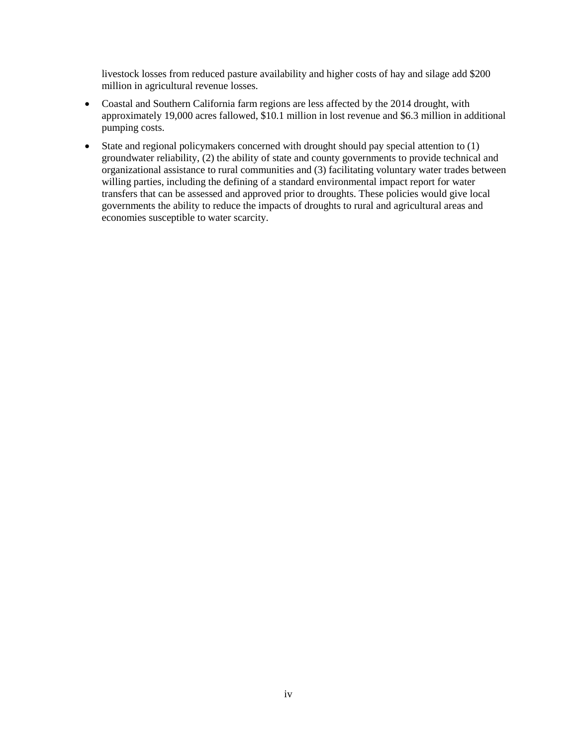livestock losses from reduced pasture availability and higher costs of hay and silage add \$200 million in agricultural revenue losses.

- Coastal and Southern California farm regions are less affected by the 2014 drought, with approximately 19,000 acres fallowed, \$10.1 million in lost revenue and \$6.3 million in additional pumping costs.
- State and regional policymakers concerned with drought should pay special attention to (1) groundwater reliability, (2) the ability of state and county governments to provide technical and organizational assistance to rural communities and (3) facilitating voluntary water trades between willing parties, including the defining of a standard environmental impact report for water transfers that can be assessed and approved prior to droughts. These policies would give local governments the ability to reduce the impacts of droughts to rural and agricultural areas and economies susceptible to water scarcity.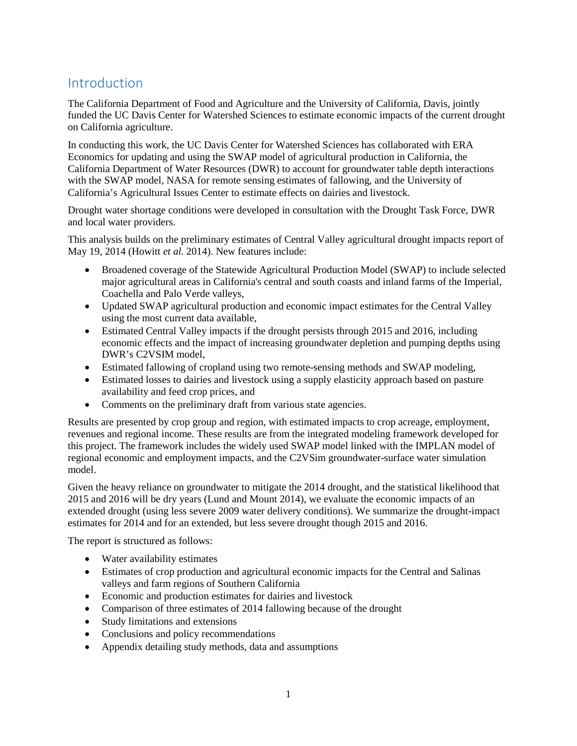## Introduction

The California Department of Food and Agriculture and the University of California, Davis, jointly funded the UC Davis Center for Watershed Sciences to estimate economic impacts of the current drought on California agriculture.

In conducting this work, the UC Davis Center for Watershed Sciences has collaborated with ERA Economics for updating and using the SWAP model of agricultural production in California, the California Department of Water Resources (DWR) to account for groundwater table depth interactions with the SWAP model, NASA for remote sensing estimates of fallowing, and the University of California's Agricultural Issues Center to estimate effects on dairies and livestock.

Drought water shortage conditions were developed in consultation with the Drought Task Force, DWR and local water providers.

This analysis builds on the preliminary estimates of Central Valley agricultural drought impacts report of May 19, 2014 (Howitt *et al.* 2014). New features include:

- Broadened coverage of the Statewide Agricultural Production Model (SWAP) to include selected major agricultural areas in California's central and south coasts and inland farms of the Imperial, Coachella and Palo Verde valleys,
- Updated SWAP agricultural production and economic impact estimates for the Central Valley using the most current data available,
- Estimated Central Valley impacts if the drought persists through 2015 and 2016, including economic effects and the impact of increasing groundwater depletion and pumping depths using DWR's C2VSIM model,
- Estimated fallowing of cropland using two remote-sensing methods and SWAP modeling,
- Estimated losses to dairies and livestock using a supply elasticity approach based on pasture availability and feed crop prices, and
- Comments on the preliminary draft from various state agencies.

Results are presented by crop group and region, with estimated impacts to crop acreage, employment, revenues and regional income. These results are from the integrated modeling framework developed for this project. The framework includes the widely used SWAP model linked with the IMPLAN model of regional economic and employment impacts, and the C2VSim groundwater-surface water simulation model.

Given the heavy reliance on groundwater to mitigate the 2014 drought, and the statistical likelihood that 2015 and 2016 will be dry years (Lund and Mount 2014), we evaluate the economic impacts of an extended drought (using less severe 2009 water delivery conditions). We summarize the drought-impact estimates for 2014 and for an extended, but less severe drought though 2015 and 2016.

The report is structured as follows:

- Water availability estimates
- Estimates of crop production and agricultural economic impacts for the Central and Salinas valleys and farm regions of Southern California
- Economic and production estimates for dairies and livestock
- Comparison of three estimates of 2014 fallowing because of the drought
- Study limitations and extensions
- Conclusions and policy recommendations
- Appendix detailing study methods, data and assumptions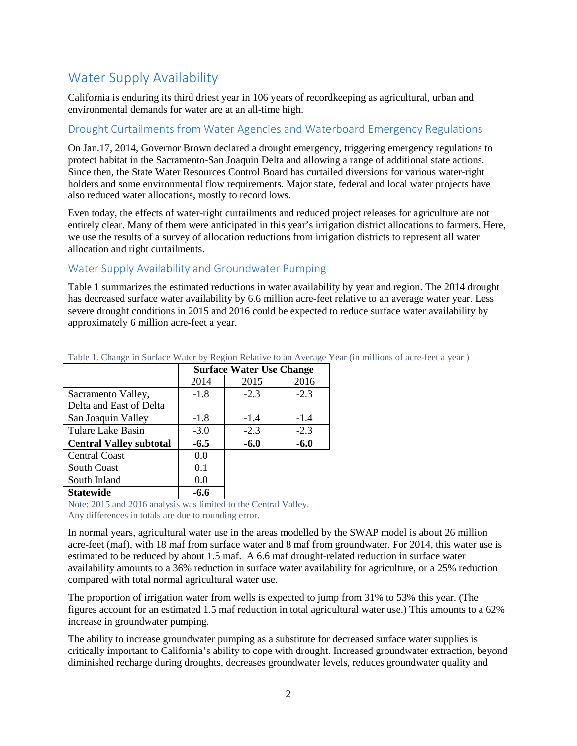# Water Supply Availability

California is enduring its third driest year in 106 years of recordkeeping as agricultural, urban and environmental demands for water are at an all-time high.

#### Drought Curtailments from Water Agencies and Waterboard Emergency Regulations

On Jan.17, 2014, Governor Brown declared a drought emergency, triggering emergency regulations to protect habitat in the Sacramento-San Joaquin Delta and allowing a range of additional state actions. Since then, the State Water Resources Control Board has curtailed diversions for various water-right holders and some environmental flow requirements. Major state, federal and local water projects have also reduced water allocations, mostly to record lows.

Even today, the effects of water-right curtailments and reduced project releases for agriculture are not entirely clear. Many of them were anticipated in this year's irrigation district allocations to farmers. Here, we use the results of a survey of allocation reductions from irrigation districts to represent all water allocation and right curtailments.

#### Water Supply Availability and Groundwater Pumping

Table 1 summarizes the estimated reductions in water availability by year and region. The 2014 drought has decreased surface water availability by 6.6 million acre-feet relative to an average water year. Less severe drought conditions in 2015 and 2016 could be expected to reduce surface water availability by approximately 6 million acre-feet a year.

|                                |        | <b>Surface Water Use Change</b> |        |  |
|--------------------------------|--------|---------------------------------|--------|--|
|                                | 2014   | 2015                            | 2016   |  |
| Sacramento Valley,             | $-1.8$ | $-2.3$                          | $-2.3$ |  |
| Delta and East of Delta        |        |                                 |        |  |
| San Joaquin Valley             | $-1.8$ | $-1.4$                          | $-1.4$ |  |
| Tulare Lake Basin              | $-3.0$ | $-2.3$                          | $-2.3$ |  |
| <b>Central Valley subtotal</b> | $-6.5$ | $-6.0$                          | $-6.0$ |  |
| <b>Central Coast</b>           | 0.0    |                                 |        |  |
| South Coast                    | 0.1    |                                 |        |  |
| South Inland                   | 0.0    |                                 |        |  |
| <b>Statewide</b>               | -6.6   |                                 |        |  |

Table 1. Change in Surface Water by Region Relative to an Average Year (in millions of acre-feet a year )

Note: 2015 and 2016 analysis was limited to the Central Valley. Any differences in totals are due to rounding error.

In normal years, agricultural water use in the areas modelled by the SWAP model is about 26 million acre-feet (maf), with 18 maf from surface water and 8 maf from groundwater. For 2014, this water use is estimated to be reduced by about 1.5 maf. A 6.6 maf drought-related reduction in surface water availability amounts to a 36% reduction in surface water availability for agriculture, or a 25% reduction compared with total normal agricultural water use.

The proportion of irrigation water from wells is expected to jump from 31% to 53% this year. (The figures account for an estimated 1.5 maf reduction in total agricultural water use.) This amounts to a 62% increase in groundwater pumping.

The ability to increase groundwater pumping as a substitute for decreased surface water supplies is critically important to California's ability to cope with drought. Increased groundwater extraction, beyond diminished recharge during droughts, decreases groundwater levels, reduces groundwater quality and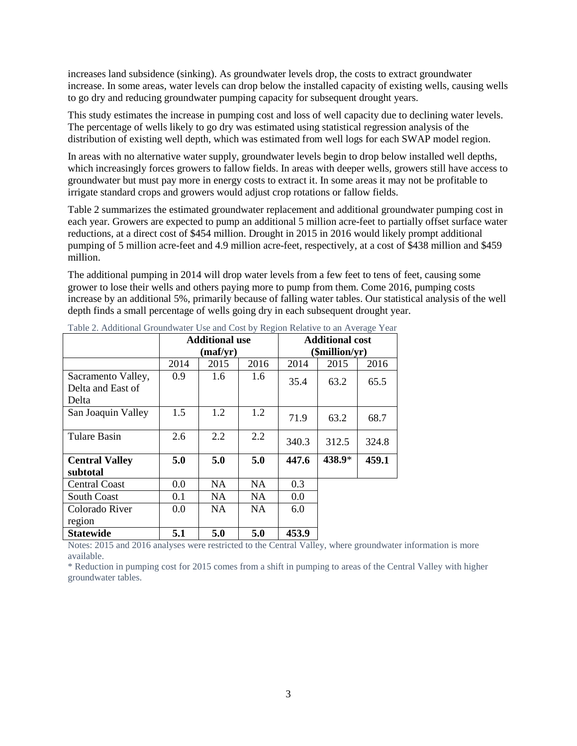increases land subsidence (sinking). As groundwater levels drop, the costs to extract groundwater increase. In some areas, water levels can drop below the installed capacity of existing wells, causing wells to go dry and reducing groundwater pumping capacity for subsequent drought years.

This study estimates the increase in pumping cost and loss of well capacity due to declining water levels. The percentage of wells likely to go dry was estimated using statistical regression analysis of the distribution of existing well depth, which was estimated from well logs for each SWAP model region.

In areas with no alternative water supply, groundwater levels begin to drop below installed well depths, which increasingly forces growers to fallow fields. In areas with deeper wells, growers still have access to groundwater but must pay more in energy costs to extract it. In some areas it may not be profitable to irrigate standard crops and growers would adjust crop rotations or fallow fields.

Table 2 summarizes the estimated groundwater replacement and additional groundwater pumping cost in each year. Growers are expected to pump an additional 5 million acre-feet to partially offset surface water reductions, at a direct cost of \$454 million. Drought in 2015 in 2016 would likely prompt additional pumping of 5 million acre-feet and 4.9 million acre-feet, respectively, at a cost of \$438 million and \$459 million.

The additional pumping in 2014 will drop water levels from a few feet to tens of feet, causing some grower to lose their wells and others paying more to pump from them. Come 2016, pumping costs increase by an additional 5%, primarily because of falling water tables. Our statistical analysis of the well depth finds a small percentage of wells going dry in each subsequent drought year.

|                                                  | <b>Additional use</b><br>(maf/yr) |               |           |       | <b>Additional cost</b><br>$(\mathbf{Smith} \cdot \mathbf{y})$ |       |
|--------------------------------------------------|-----------------------------------|---------------|-----------|-------|---------------------------------------------------------------|-------|
|                                                  | 2014                              | 2015          | 2016      | 2014  | 2015                                                          | 2016  |
| Sacramento Valley,<br>Delta and East of<br>Delta | 0.9                               | $1.6^{\circ}$ | 1.6       | 35.4  | 63.2                                                          | 65.5  |
| San Joaquin Valley                               | 1.5                               | 1.2           | 1.2       | 71.9  | 63.2                                                          | 68.7  |
| <b>Tulare Basin</b>                              | 2.6                               | 2.2           | 2.2       | 340.3 | 312.5                                                         | 324.8 |
| <b>Central Valley</b><br>subtotal                | 5.0                               | 5.0           | 5.0       | 447.6 | 438.9*                                                        | 459.1 |
| <b>Central Coast</b>                             | 0.0                               | <b>NA</b>     | <b>NA</b> | 0.3   |                                                               |       |
| <b>South Coast</b>                               | 0.1                               | <b>NA</b>     | <b>NA</b> | 0.0   |                                                               |       |
| Colorado River<br>region                         | 0.0                               | NA.           | <b>NA</b> | 6.0   |                                                               |       |
| <b>Statewide</b>                                 | 5.1                               | 5.0           | 5.0       | 453.9 |                                                               |       |

Table 2. Additional Groundwater Use and Cost by Region Relative to an Average Year

Notes: 2015 and 2016 analyses were restricted to the Central Valley, where groundwater information is more available.

\* Reduction in pumping cost for 2015 comes from a shift in pumping to areas of the Central Valley with higher groundwater tables.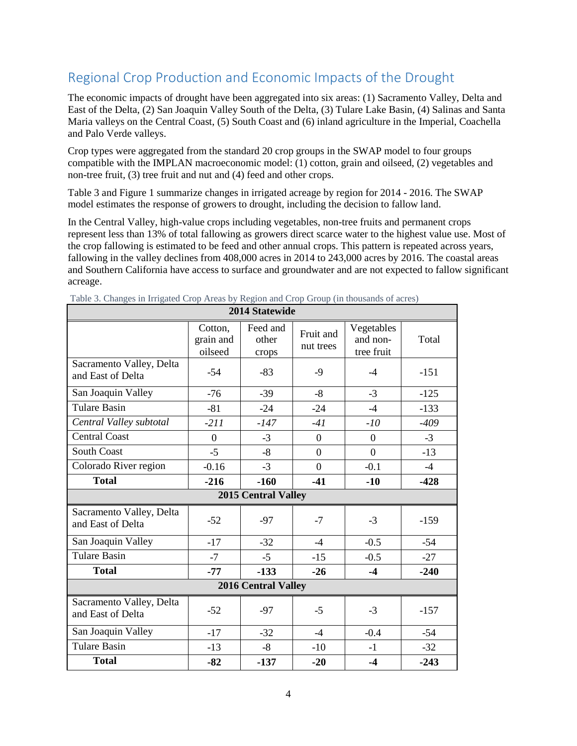# Regional Crop Production and Economic Impacts of the Drought

The economic impacts of drought have been aggregated into six areas: (1) Sacramento Valley, Delta and East of the Delta, (2) San Joaquin Valley South of the Delta, (3) Tulare Lake Basin, (4) Salinas and Santa Maria valleys on the Central Coast, (5) South Coast and (6) inland agriculture in the Imperial, Coachella and Palo Verde valleys.

Crop types were aggregated from the standard 20 crop groups in the SWAP model to four groups compatible with the IMPLAN macroeconomic model: (1) cotton, grain and oilseed, (2) vegetables and non-tree fruit, (3) tree fruit and nut and (4) feed and other crops.

Table 3 and Figure 1 summarize changes in irrigated acreage by region for 2014 - 2016. The SWAP model estimates the response of growers to drought, including the decision to fallow land.

In the Central Valley, high-value crops including vegetables, non-tree fruits and permanent crops represent less than 13% of total fallowing as growers direct scarce water to the highest value use. Most of the crop fallowing is estimated to be feed and other annual crops. This pattern is repeated across years, fallowing in the valley declines from 408,000 acres in 2014 to 243,000 acres by 2016. The coastal areas and Southern California have access to surface and groundwater and are not expected to fallow significant acreage.

|                                               |                                 | 2014 Statewide             |                        |                                      |        |
|-----------------------------------------------|---------------------------------|----------------------------|------------------------|--------------------------------------|--------|
|                                               | Cotton,<br>grain and<br>oilseed | Feed and<br>other<br>crops | Fruit and<br>nut trees | Vegetables<br>and non-<br>tree fruit | Total  |
| Sacramento Valley, Delta<br>and East of Delta | $-54$                           | $-83$                      | $-9$                   | $-4$                                 | $-151$ |
| San Joaquin Valley                            | $-76$                           | $-39$                      | $-8$                   | $-3$                                 | $-125$ |
| <b>Tulare Basin</b>                           | $-81$                           | $-24$                      | $-24$                  | $-4$                                 | $-133$ |
| Central Valley subtotal                       | $-211$                          | $-147$                     | $-41$                  | $-10$                                | $-409$ |
| <b>Central Coast</b>                          | $\boldsymbol{0}$                | $-3$                       | $\boldsymbol{0}$       | $\overline{0}$                       | $-3$   |
| <b>South Coast</b>                            | $-5$                            | $-8$                       | $\overline{0}$         | $\overline{0}$                       | $-13$  |
| Colorado River region                         | $-0.16$                         | $-3$                       | $\overline{0}$         | $-0.1$                               | $-4$   |
| <b>Total</b>                                  | $-216$                          | $-160$                     | $-41$                  | $-10$                                | $-428$ |
|                                               |                                 | 2015 Central Valley        |                        |                                      |        |
| Sacramento Valley, Delta<br>and East of Delta | $-52$                           | $-97$                      | $-7$                   | $-3$                                 | $-159$ |
| San Joaquin Valley                            | $-17$                           | $-32$                      | $-4$                   | $-0.5$                               | $-54$  |
| <b>Tulare Basin</b>                           | $-7$                            | $-5$                       | $-15$                  | $-0.5$                               | $-27$  |
| <b>Total</b>                                  | $-77$                           | $-133$                     | $-26$                  | $-4$                                 | $-240$ |
| <b>2016 Central Valley</b>                    |                                 |                            |                        |                                      |        |
| Sacramento Valley, Delta<br>and East of Delta | $-52$                           | $-97$                      | $-5$                   | $-3$                                 | $-157$ |
| San Joaquin Valley                            | $-17$                           | $-32$                      | $-4$                   | $-0.4$                               | $-54$  |
| Tulare Basin                                  | $-13$                           | $-8$                       | $-10$                  | $-1$                                 | $-32$  |
| <b>Total</b>                                  | $-82$                           | $-137$                     | $-20$                  | $-4$                                 | $-243$ |

Table 3. Changes in Irrigated Crop Areas by Region and Crop Group (in thousands of acres)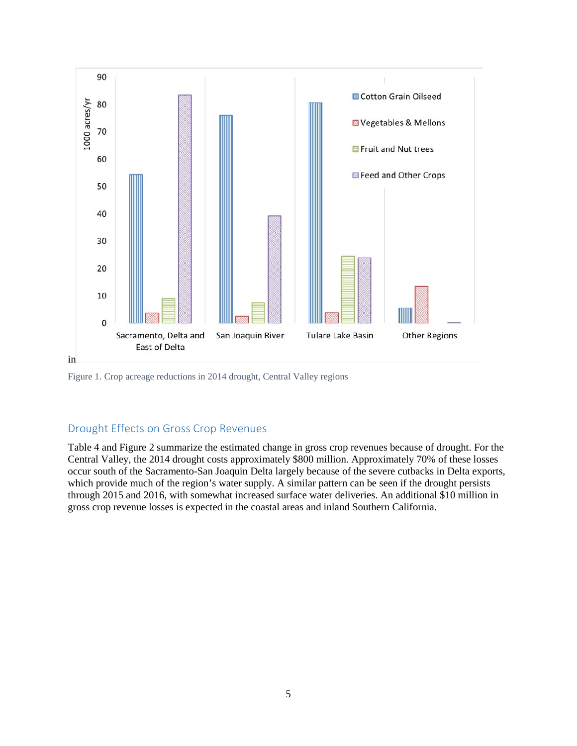

Figure 1. Crop acreage reductions in 2014 drought, Central Valley regions

## Drought Effects on Gross Crop Revenues

Table 4 and Figure 2 summarize the estimated change in gross crop revenues because of drought. For the Central Valley, the 2014 drought costs approximately \$800 million. Approximately 70% of these losses occur south of the Sacramento-San Joaquin Delta largely because of the severe cutbacks in Delta exports, which provide much of the region's water supply. A similar pattern can be seen if the drought persists through 2015 and 2016, with somewhat increased surface water deliveries. An additional \$10 million in gross crop revenue losses is expected in the coastal areas and inland Southern California.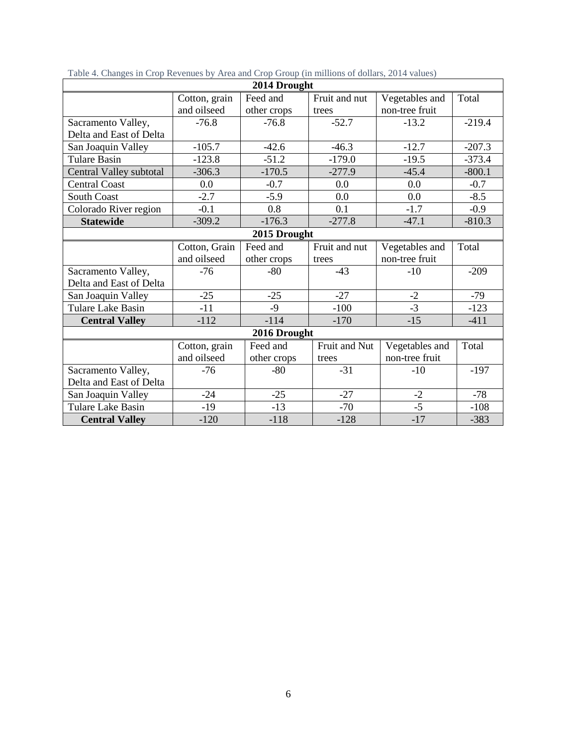| 2014 Drought            |               |              |               |                |          |
|-------------------------|---------------|--------------|---------------|----------------|----------|
|                         | Cotton, grain | Feed and     | Fruit and nut | Vegetables and | Total    |
|                         | and oilseed   | other crops  | trees         | non-tree fruit |          |
| Sacramento Valley,      | $-76.8$       | $-76.8$      | $-52.7$       | $-13.2$        | $-219.4$ |
| Delta and East of Delta |               |              |               |                |          |
| San Joaquin Valley      | $-105.7$      | $-42.6$      | $-46.3$       | $-12.7$        | $-207.3$ |
| <b>Tulare Basin</b>     | $-123.8$      | $-51.2$      | $-179.0$      | $-19.5$        | $-373.4$ |
| Central Valley subtotal | $-306.3$      | $-170.5$     | $-277.9$      | $-45.4$        | $-800.1$ |
| <b>Central Coast</b>    | 0.0           | $-0.7$       | 0.0           | 0.0            | $-0.7$   |
| <b>South Coast</b>      | $-2.7$        | $-5.9$       | 0.0           | 0.0            | $-8.5$   |
| Colorado River region   | $-0.1$        | 0.8          | 0.1           | $-1.7$         | $-0.9$   |
| <b>Statewide</b>        | $-309.2$      | $-176.3$     | $-277.8$      | $-47.1$        | $-810.3$ |
|                         |               | 2015 Drought |               |                |          |
|                         | Cotton, Grain | Feed and     | Fruit and nut | Vegetables and | Total    |
|                         | and oilseed   | other crops  | trees         | non-tree fruit |          |
| Sacramento Valley,      | $-76$         | $-80$        | $-43$         | $-10$          | $-209$   |
| Delta and East of Delta |               |              |               |                |          |
| San Joaquin Valley      | $-25$         | $-25$        | $-27$         | $-2$           | $-79$    |
| Tulare Lake Basin       | $-11$         | $-9$         | $-100$        | $-3$           | $-123$   |
| <b>Central Valley</b>   | $-112$        | $-114$       | $-170$        | $-15$          | $-411$   |
|                         |               | 2016 Drought |               |                |          |
|                         | Cotton, grain | Feed and     | Fruit and Nut | Vegetables and | Total    |
|                         | and oilseed   | other crops  | trees         | non-tree fruit |          |
| Sacramento Valley,      | $-76$         | $-80$        | $-31$         | $-10$          | $-197$   |
| Delta and East of Delta |               |              |               |                |          |
| San Joaquin Valley      | $-24$         | $-25$        | $-27$         | $-2$           | $-78$    |
| Tulare Lake Basin       | $-19$         | $-13$        | $-70$         | $-5$           | $-108$   |
| <b>Central Valley</b>   | $-120$        | $-118$       | $-128$        | $-17$          | $-383$   |

Table 4. Changes in Crop Revenues by Area and Crop Group (in millions of dollars, 2014 values)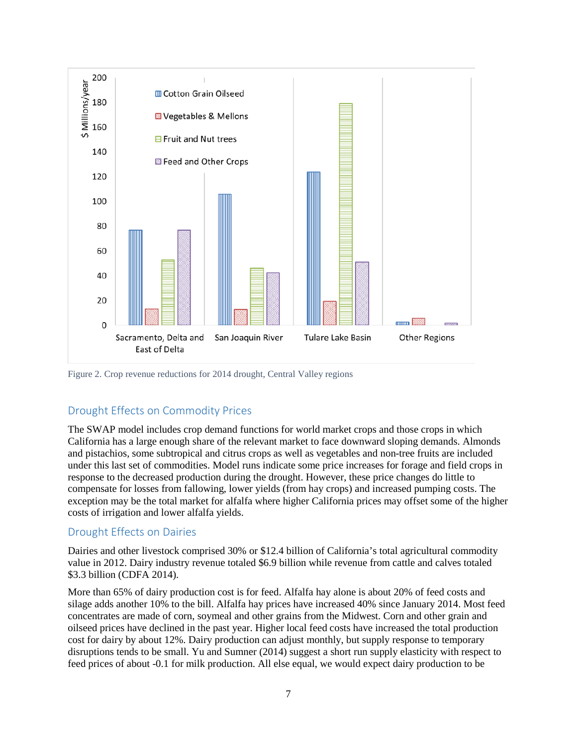

Figure 2. Crop revenue reductions for 2014 drought, Central Valley regions

## Drought Effects on Commodity Prices

The SWAP model includes crop demand functions for world market crops and those crops in which California has a large enough share of the relevant market to face downward sloping demands. Almonds and pistachios, some subtropical and citrus crops as well as vegetables and non-tree fruits are included under this last set of commodities. Model runs indicate some price increases for forage and field crops in response to the decreased production during the drought. However, these price changes do little to compensate for losses from fallowing, lower yields (from hay crops) and increased pumping costs. The exception may be the total market for alfalfa where higher California prices may offset some of the higher costs of irrigation and lower alfalfa yields.

#### Drought Effects on Dairies

Dairies and other livestock comprised 30% or \$12.4 billion of California's total agricultural commodity value in 2012. Dairy industry revenue totaled \$6.9 billion while revenue from cattle and calves totaled \$3.3 billion (CDFA 2014).

More than 65% of dairy production cost is for feed. Alfalfa hay alone is about 20% of feed costs and silage adds another 10% to the bill. Alfalfa hay prices have increased 40% since January 2014. Most feed concentrates are made of corn, soymeal and other grains from the Midwest. Corn and other grain and oilseed prices have declined in the past year. Higher local feed costs have increased the total production cost for dairy by about 12%. Dairy production can adjust monthly, but supply response to temporary disruptions tends to be small. Yu and Sumner (2014) suggest a short run supply elasticity with respect to feed prices of about -0.1 for milk production. All else equal, we would expect dairy production to be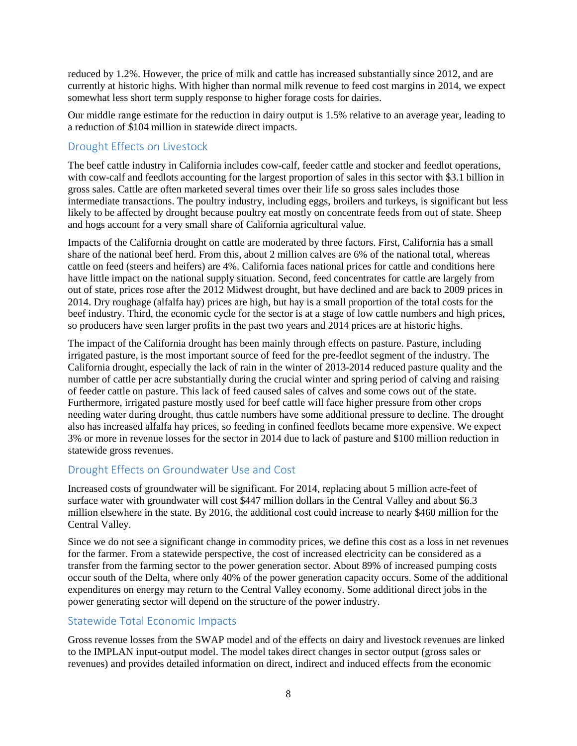reduced by 1.2%. However, the price of milk and cattle has increased substantially since 2012, and are currently at historic highs. With higher than normal milk revenue to feed cost margins in 2014, we expect somewhat less short term supply response to higher forage costs for dairies.

Our middle range estimate for the reduction in dairy output is 1.5% relative to an average year, leading to a reduction of \$104 million in statewide direct impacts.

#### Drought Effects on Livestock

The beef cattle industry in California includes cow-calf, feeder cattle and stocker and feedlot operations, with cow-calf and feedlots accounting for the largest proportion of sales in this sector with \$3.1 billion in gross sales. Cattle are often marketed several times over their life so gross sales includes those intermediate transactions. The poultry industry, including eggs, broilers and turkeys, is significant but less likely to be affected by drought because poultry eat mostly on concentrate feeds from out of state. Sheep and hogs account for a very small share of California agricultural value.

Impacts of the California drought on cattle are moderated by three factors. First, California has a small share of the national beef herd. From this, about 2 million calves are 6% of the national total, whereas cattle on feed (steers and heifers) are 4%. California faces national prices for cattle and conditions here have little impact on the national supply situation. Second, feed concentrates for cattle are largely from out of state, prices rose after the 2012 Midwest drought, but have declined and are back to 2009 prices in 2014. Dry roughage (alfalfa hay) prices are high, but hay is a small proportion of the total costs for the beef industry. Third, the economic cycle for the sector is at a stage of low cattle numbers and high prices, so producers have seen larger profits in the past two years and 2014 prices are at historic highs.

The impact of the California drought has been mainly through effects on pasture. Pasture, including irrigated pasture, is the most important source of feed for the pre-feedlot segment of the industry. The California drought, especially the lack of rain in the winter of 2013-2014 reduced pasture quality and the number of cattle per acre substantially during the crucial winter and spring period of calving and raising of feeder cattle on pasture. This lack of feed caused sales of calves and some cows out of the state. Furthermore, irrigated pasture mostly used for beef cattle will face higher pressure from other crops needing water during drought, thus cattle numbers have some additional pressure to decline. The drought also has increased alfalfa hay prices, so feeding in confined feedlots became more expensive. We expect 3% or more in revenue losses for the sector in 2014 due to lack of pasture and \$100 million reduction in statewide gross revenues.

#### Drought Effects on Groundwater Use and Cost

Increased costs of groundwater will be significant. For 2014, replacing about 5 million acre-feet of surface water with groundwater will cost \$447 million dollars in the Central Valley and about \$6.3 million elsewhere in the state. By 2016, the additional cost could increase to nearly \$460 million for the Central Valley.

Since we do not see a significant change in commodity prices, we define this cost as a loss in net revenues for the farmer. From a statewide perspective, the cost of increased electricity can be considered as a transfer from the farming sector to the power generation sector. About 89% of increased pumping costs occur south of the Delta, where only 40% of the power generation capacity occurs. Some of the additional expenditures on energy may return to the Central Valley economy. Some additional direct jobs in the power generating sector will depend on the structure of the power industry.

#### Statewide Total Economic Impacts

Gross revenue losses from the SWAP model and of the effects on dairy and livestock revenues are linked to the IMPLAN input-output model. The model takes direct changes in sector output (gross sales or revenues) and provides detailed information on direct, indirect and induced effects from the economic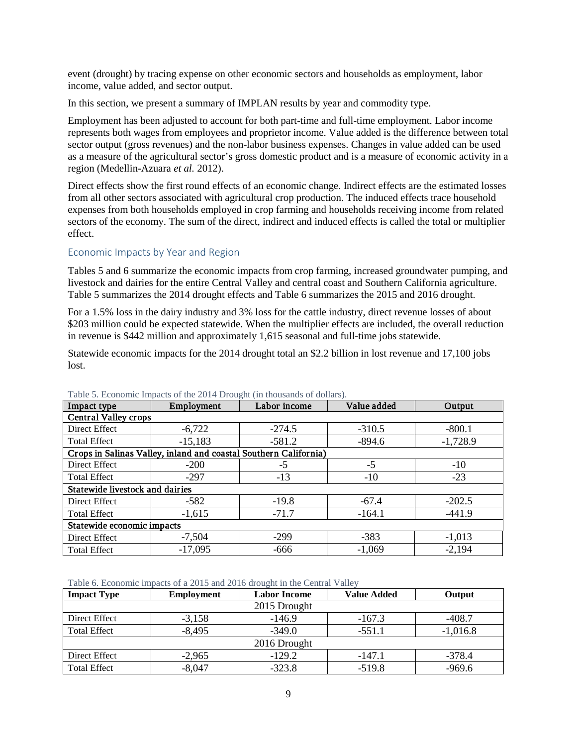event (drought) by tracing expense on other economic sectors and households as employment, labor income, value added, and sector output.

In this section, we present a summary of IMPLAN results by year and commodity type.

Employment has been adjusted to account for both part-time and full-time employment. Labor income represents both wages from employees and proprietor income. Value added is the difference between total sector output (gross revenues) and the non-labor business expenses. Changes in value added can be used as a measure of the agricultural sector's gross domestic product and is a measure of economic activity in a region (Medellin-Azuara *et al.* 2012).

Direct effects show the first round effects of an economic change. Indirect effects are the estimated losses from all other sectors associated with agricultural crop production. The induced effects trace household expenses from both households employed in crop farming and households receiving income from related sectors of the economy. The sum of the direct, indirect and induced effects is called the total or multiplier effect.

#### Economic Impacts by Year and Region

Tables 5 and 6 summarize the economic impacts from crop farming, increased groundwater pumping, and livestock and dairies for the entire Central Valley and central coast and Southern California agriculture. Table 5 summarizes the 2014 drought effects and Table 6 summarizes the 2015 and 2016 drought.

For a 1.5% loss in the dairy industry and 3% loss for the cattle industry, direct revenue losses of about \$203 million could be expected statewide. When the multiplier effects are included, the overall reduction in revenue is \$442 million and approximately 1,615 seasonal and full-time jobs statewide.

Statewide economic impacts for the 2014 drought total an \$2.2 billion in lost revenue and 17,100 jobs lost.

| Impact type                | Employment<br>Labor income      |                                                                  | Value added | Output     |  |  |
|----------------------------|---------------------------------|------------------------------------------------------------------|-------------|------------|--|--|
|                            | Central Valley crops            |                                                                  |             |            |  |  |
| Direct Effect              | $-6,722$                        | $-274.5$                                                         | $-310.5$    | $-800.1$   |  |  |
| <b>Total Effect</b>        | $-15,183$                       | $-581.2$                                                         | $-894.6$    | $-1,728.9$ |  |  |
|                            |                                 | Crops in Salinas Valley, inland and coastal Southern California) |             |            |  |  |
| Direct Effect              | $-200$                          | -5                                                               | $-5$        | $-10$      |  |  |
| <b>Total Effect</b>        | $-297$                          | $-13$                                                            | $-10$       | $-23$      |  |  |
|                            | Statewide livestock and dairies |                                                                  |             |            |  |  |
| Direct Effect              | $-582$                          | $-19.8$                                                          | $-67.4$     | $-202.5$   |  |  |
| <b>Total Effect</b>        | $-1,615$                        | $-71.7$                                                          | $-164.1$    | $-441.9$   |  |  |
| Statewide economic impacts |                                 |                                                                  |             |            |  |  |
| Direct Effect              | $-7,504$                        | $-299$                                                           | $-383$      | $-1,013$   |  |  |
| <b>Total Effect</b>        | $-17,095$                       | $-666$                                                           | $-1,069$    | $-2,194$   |  |  |

#### Table 5. Economic Impacts of the 2014 Drought (in thousands of dollars).

Table 6. Economic impacts of a 2015 and 2016 drought in the Central Valley

| <b>Impact Type</b>  | <b>Employment</b> | <b>Labor Income</b> | <b>Value Added</b> | Output     |
|---------------------|-------------------|---------------------|--------------------|------------|
|                     |                   | 2015 Drought        |                    |            |
| Direct Effect       | $-3,158$          | $-146.9$            | $-167.3$           | $-408.7$   |
| <b>Total Effect</b> | $-8,495$          | $-349.0$            | $-551.1$           | $-1,016.8$ |
|                     |                   | 2016 Drought        |                    |            |
| Direct Effect       | $-2,965$          | $-129.2$            | $-147.1$           | $-378.4$   |
| <b>Total Effect</b> | $-8,047$          | $-323.8$            | $-519.8$           | $-969.6$   |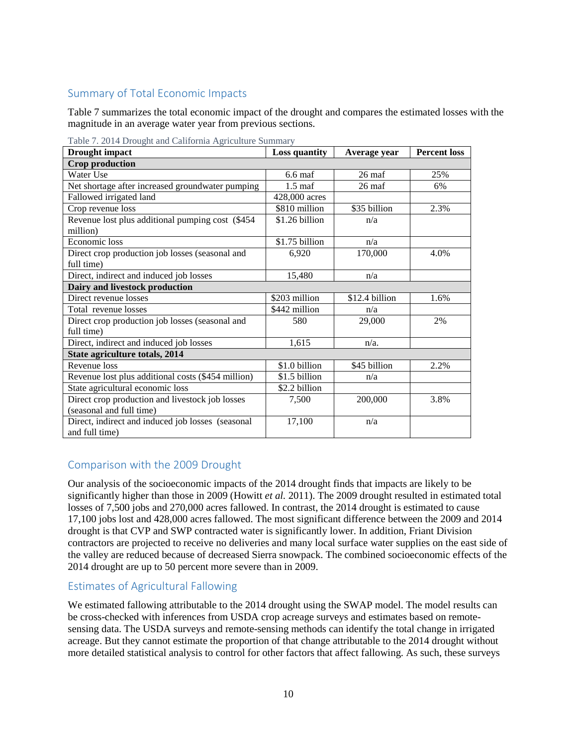## Summary of Total Economic Impacts

Table 7 summarizes the total economic impact of the drought and compares the estimated losses with the magnitude in an average water year from previous sections.

| <b>Drought</b> impact                              | <b>Loss quantity</b> | Average year     | <b>Percent loss</b> |  |
|----------------------------------------------------|----------------------|------------------|---------------------|--|
| <b>Crop production</b>                             |                      |                  |                     |  |
| Water Use                                          | $6.6 \text{ maf}$    | $26 \text{ maf}$ | 25%                 |  |
| Net shortage after increased groundwater pumping   | $1.5 \text{ maf}$    | 26 maf           | 6%                  |  |
| Fallowed irrigated land                            | 428,000 acres        |                  |                     |  |
| Crop revenue loss                                  | \$810 million        | \$35 billion     | 2.3%                |  |
| Revenue lost plus additional pumping cost (\$454)  | \$1.26 billion       | n/a              |                     |  |
| million)                                           |                      |                  |                     |  |
| Economic loss                                      | \$1.75 billion       | n/a              |                     |  |
| Direct crop production job losses (seasonal and    | 6,920                | 170,000          | 4.0%                |  |
| full time)                                         |                      |                  |                     |  |
| Direct, indirect and induced job losses            | 15,480               | n/a              |                     |  |
| Dairy and livestock production                     |                      |                  |                     |  |
| Direct revenue losses                              | \$203 million        | \$12.4 billion   | 1.6%                |  |
| Total revenue losses                               | \$442 million        | n/a              |                     |  |
| Direct crop production job losses (seasonal and    | 580                  | 29,000           | 2%                  |  |
| full time)                                         |                      |                  |                     |  |
| Direct, indirect and induced job losses            | 1,615                | $n/a$ .          |                     |  |
| State agriculture totals, 2014                     |                      |                  |                     |  |
| Revenue loss                                       | \$1.0 billion        | \$45 billion     | 2.2%                |  |
| Revenue lost plus additional costs (\$454 million) | \$1.5 billion        | n/a              |                     |  |
| State agricultural economic loss                   | \$2.2 billion        |                  |                     |  |
| Direct crop production and livestock job losses    | 7,500                | 200,000          | 3.8%                |  |
| (seasonal and full time)                           |                      |                  |                     |  |
| Direct, indirect and induced job losses (seasonal  | 17,100               | n/a              |                     |  |
| and full time)                                     |                      |                  |                     |  |

Table 7. 2014 Drought and California Agriculture Summary

## Comparison with the 2009 Drought

Our analysis of the socioeconomic impacts of the 2014 drought finds that impacts are likely to be significantly higher than those in 2009 (Howitt *et al.* 2011). The 2009 drought resulted in estimated total losses of 7,500 jobs and 270,000 acres fallowed. In contrast, the 2014 drought is estimated to cause 17,100 jobs lost and 428,000 acres fallowed. The most significant difference between the 2009 and 2014 drought is that CVP and SWP contracted water is significantly lower. In addition, Friant Division contractors are projected to receive no deliveries and many local surface water supplies on the east side of the valley are reduced because of decreased Sierra snowpack. The combined socioeconomic effects of the 2014 drought are up to 50 percent more severe than in 2009.

## Estimates of Agricultural Fallowing

We estimated fallowing attributable to the 2014 drought using the SWAP model. The model results can be cross-checked with inferences from USDA crop acreage surveys and estimates based on remotesensing data. The USDA surveys and remote-sensing methods can identify the total change in irrigated acreage. But they cannot estimate the proportion of that change attributable to the 2014 drought without more detailed statistical analysis to control for other factors that affect fallowing. As such, these surveys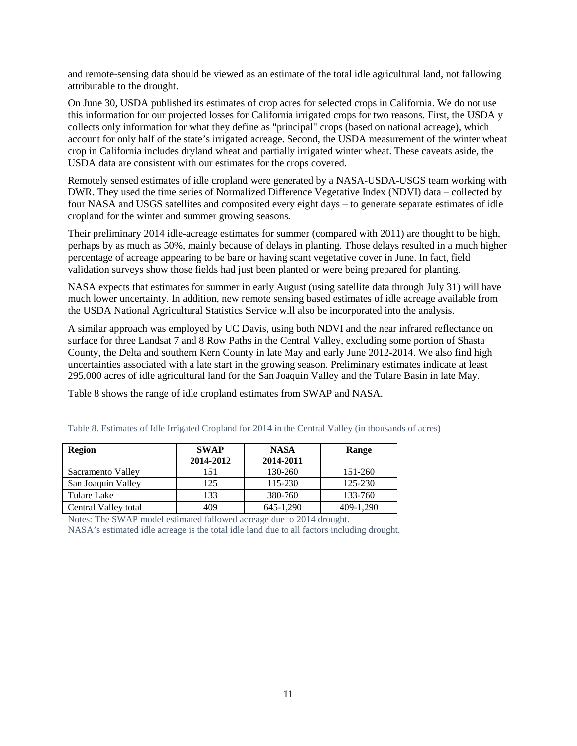and remote-sensing data should be viewed as an estimate of the total idle agricultural land, not fallowing attributable to the drought.

On June 30, USDA published its estimates of crop acres for selected crops in California. We do not use this information for our projected losses for California irrigated crops for two reasons. First, the USDA y collects only information for what they define as "principal" crops (based on national acreage), which account for only half of the state's irrigated acreage. Second, the USDA measurement of the winter wheat crop in California includes dryland wheat and partially irrigated winter wheat. These caveats aside, the USDA data are consistent with our estimates for the crops covered.

Remotely sensed estimates of idle cropland were generated by a NASA-USDA-USGS team working with DWR. They used the time series of Normalized Difference Vegetative Index (NDVI) data – collected by four NASA and USGS satellites and composited every eight days – to generate separate estimates of idle cropland for the winter and summer growing seasons.

Their preliminary 2014 idle-acreage estimates for summer (compared with 2011) are thought to be high, perhaps by as much as 50%, mainly because of delays in planting. Those delays resulted in a much higher percentage of acreage appearing to be bare or having scant vegetative cover in June. In fact, field validation surveys show those fields had just been planted or were being prepared for planting.

NASA expects that estimates for summer in early August (using satellite data through July 31) will have much lower uncertainty. In addition, new remote sensing based estimates of idle acreage available from the USDA National Agricultural Statistics Service will also be incorporated into the analysis.

A similar approach was employed by UC Davis, using both NDVI and the near infrared reflectance on surface for three Landsat 7 and 8 Row Paths in the Central Valley, excluding some portion of Shasta County, the Delta and southern Kern County in late May and early June 2012-2014. We also find high uncertainties associated with a late start in the growing season. Preliminary estimates indicate at least 295,000 acres of idle agricultural land for the San Joaquin Valley and the Tulare Basin in late May.

Table 8 shows the range of idle cropland estimates from SWAP and NASA.

| Region               | <b>SWAP</b><br>2014-2012 | <b>NASA</b><br>2014-2011 | Range     |
|----------------------|--------------------------|--------------------------|-----------|
| Sacramento Valley    | 151                      | 130-260                  | 151-260   |
| San Joaquin Valley   | 125                      | 115-230                  | 125-230   |
| Tulare Lake          | 133                      | 380-760                  | 133-760   |
| Central Valley total | 409                      | 645-1.290                | 409-1.290 |

Table 8. Estimates of Idle Irrigated Cropland for 2014 in the Central Valley (in thousands of acres)

Notes: The SWAP model estimated fallowed acreage due to 2014 drought.

NASA's estimated idle acreage is the total idle land due to all factors including drought.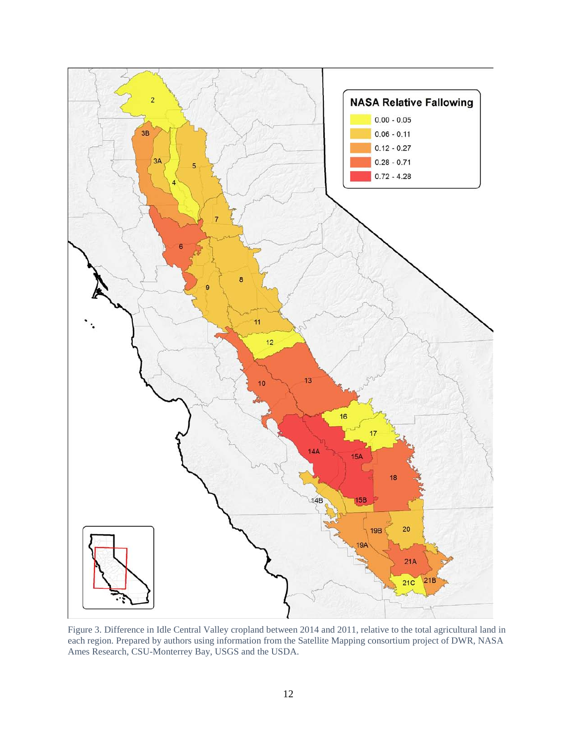

Figure 3. Difference in Idle Central Valley cropland between 2014 and 2011, relative to the total agricultural land in each region. Prepared by authors using information from the Satellite Mapping consortium project of DWR, NASA Ames Research, CSU-Monterrey Bay, USGS and the USDA.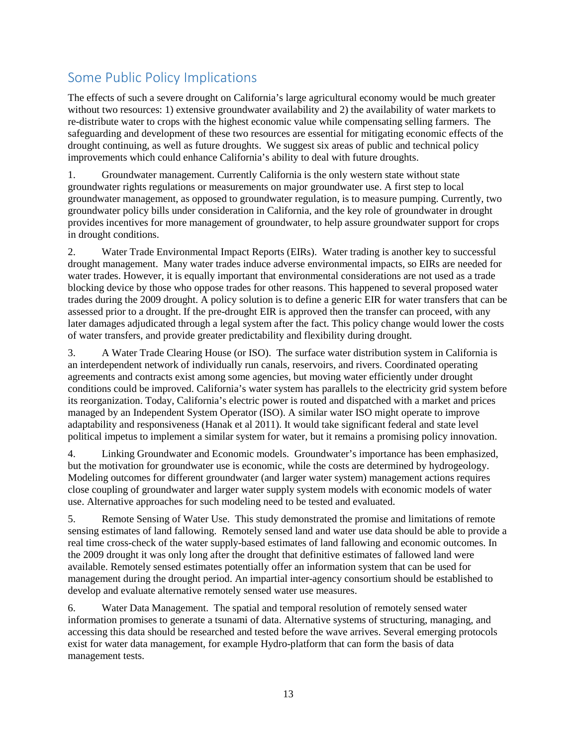# Some Public Policy Implications

The effects of such a severe drought on California's large agricultural economy would be much greater without two resources: 1) extensive groundwater availability and 2) the availability of water markets to re-distribute water to crops with the highest economic value while compensating selling farmers. The safeguarding and development of these two resources are essential for mitigating economic effects of the drought continuing, as well as future droughts. We suggest six areas of public and technical policy improvements which could enhance California's ability to deal with future droughts.

1. Groundwater management. Currently California is the only western state without state groundwater rights regulations or measurements on major groundwater use. A first step to local groundwater management, as opposed to groundwater regulation, is to measure pumping. Currently, two groundwater policy bills under consideration in California, and the key role of groundwater in drought provides incentives for more management of groundwater, to help assure groundwater support for crops in drought conditions.

2. Water Trade Environmental Impact Reports (EIRs). Water trading is another key to successful drought management. Many water trades induce adverse environmental impacts, so EIRs are needed for water trades. However, it is equally important that environmental considerations are not used as a trade blocking device by those who oppose trades for other reasons. This happened to several proposed water trades during the 2009 drought. A policy solution is to define a generic EIR for water transfers that can be assessed prior to a drought. If the pre-drought EIR is approved then the transfer can proceed, with any later damages adjudicated through a legal system after the fact. This policy change would lower the costs of water transfers, and provide greater predictability and flexibility during drought.

3. A Water Trade Clearing House (or ISO). The surface water distribution system in California is an interdependent network of individually run canals, reservoirs, and rivers. Coordinated operating agreements and contracts exist among some agencies, but moving water efficiently under drought conditions could be improved. California's water system has parallels to the electricity grid system before its reorganization. Today, California's electric power is routed and dispatched with a market and prices managed by an Independent System Operator (ISO). A similar water ISO might operate to improve adaptability and responsiveness (Hanak et al 2011). It would take significant federal and state level political impetus to implement a similar system for water, but it remains a promising policy innovation.

4. Linking Groundwater and Economic models. Groundwater's importance has been emphasized, but the motivation for groundwater use is economic, while the costs are determined by hydrogeology. Modeling outcomes for different groundwater (and larger water system) management actions requires close coupling of groundwater and larger water supply system models with economic models of water use. Alternative approaches for such modeling need to be tested and evaluated.

5. Remote Sensing of Water Use. This study demonstrated the promise and limitations of remote sensing estimates of land fallowing. Remotely sensed land and water use data should be able to provide a real time cross-check of the water supply-based estimates of land fallowing and economic outcomes. In the 2009 drought it was only long after the drought that definitive estimates of fallowed land were available. Remotely sensed estimates potentially offer an information system that can be used for management during the drought period. An impartial inter-agency consortium should be established to develop and evaluate alternative remotely sensed water use measures.

6. Water Data Management. The spatial and temporal resolution of remotely sensed water information promises to generate a tsunami of data. Alternative systems of structuring, managing, and accessing this data should be researched and tested before the wave arrives. Several emerging protocols exist for water data management, for example Hydro-platform that can form the basis of data management tests.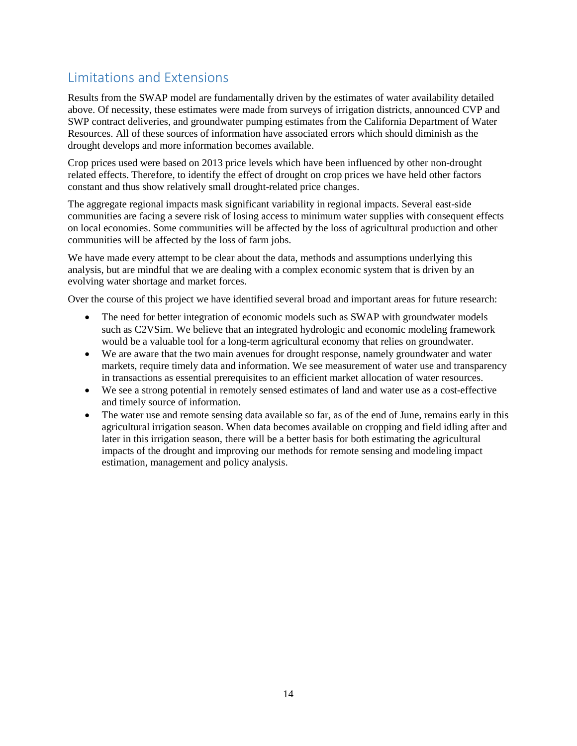# Limitations and Extensions

Results from the SWAP model are fundamentally driven by the estimates of water availability detailed above. Of necessity, these estimates were made from surveys of irrigation districts, announced CVP and SWP contract deliveries, and groundwater pumping estimates from the California Department of Water Resources. All of these sources of information have associated errors which should diminish as the drought develops and more information becomes available.

Crop prices used were based on 2013 price levels which have been influenced by other non-drought related effects. Therefore, to identify the effect of drought on crop prices we have held other factors constant and thus show relatively small drought-related price changes.

The aggregate regional impacts mask significant variability in regional impacts. Several east-side communities are facing a severe risk of losing access to minimum water supplies with consequent effects on local economies. Some communities will be affected by the loss of agricultural production and other communities will be affected by the loss of farm jobs.

We have made every attempt to be clear about the data, methods and assumptions underlying this analysis, but are mindful that we are dealing with a complex economic system that is driven by an evolving water shortage and market forces.

Over the course of this project we have identified several broad and important areas for future research:

- The need for better integration of economic models such as SWAP with groundwater models such as C2VSim. We believe that an integrated hydrologic and economic modeling framework would be a valuable tool for a long-term agricultural economy that relies on groundwater.
- We are aware that the two main avenues for drought response, namely groundwater and water markets, require timely data and information. We see measurement of water use and transparency in transactions as essential prerequisites to an efficient market allocation of water resources.
- We see a strong potential in remotely sensed estimates of land and water use as a cost-effective and timely source of information.
- The water use and remote sensing data available so far, as of the end of June, remains early in this agricultural irrigation season. When data becomes available on cropping and field idling after and later in this irrigation season, there will be a better basis for both estimating the agricultural impacts of the drought and improving our methods for remote sensing and modeling impact estimation, management and policy analysis.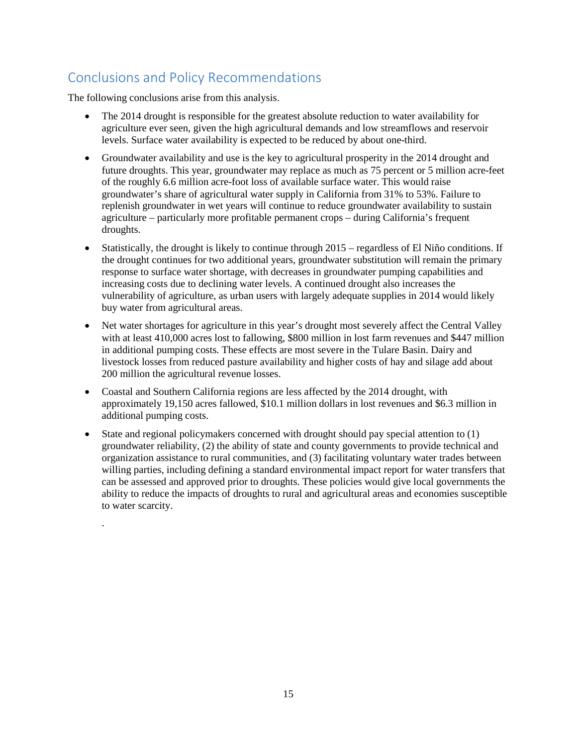# Conclusions and Policy Recommendations

The following conclusions arise from this analysis.

.

- The 2014 drought is responsible for the greatest absolute reduction to water availability for agriculture ever seen, given the high agricultural demands and low streamflows and reservoir levels. Surface water availability is expected to be reduced by about one-third.
- Groundwater availability and use is the key to agricultural prosperity in the 2014 drought and future droughts. This year, groundwater may replace as much as 75 percent or 5 million acre-feet of the roughly 6.6 million acre-foot loss of available surface water. This would raise groundwater's share of agricultural water supply in California from 31% to 53%. Failure to replenish groundwater in wet years will continue to reduce groundwater availability to sustain agriculture – particularly more profitable permanent crops – during California's frequent droughts.
- Statistically, the drought is likely to continue through 2015 regardless of El Niño conditions. If the drought continues for two additional years, groundwater substitution will remain the primary response to surface water shortage, with decreases in groundwater pumping capabilities and increasing costs due to declining water levels. A continued drought also increases the vulnerability of agriculture, as urban users with largely adequate supplies in 2014 would likely buy water from agricultural areas.
- Net water shortages for agriculture in this year's drought most severely affect the Central Valley with at least 410,000 acres lost to fallowing, \$800 million in lost farm revenues and \$447 million in additional pumping costs. These effects are most severe in the Tulare Basin. Dairy and livestock losses from reduced pasture availability and higher costs of hay and silage add about 200 million the agricultural revenue losses.
- Coastal and Southern California regions are less affected by the 2014 drought, with approximately 19,150 acres fallowed, \$10.1 million dollars in lost revenues and \$6.3 million in additional pumping costs.
- State and regional policymakers concerned with drought should pay special attention to (1) groundwater reliability, (2) the ability of state and county governments to provide technical and organization assistance to rural communities, and (3) facilitating voluntary water trades between willing parties, including defining a standard environmental impact report for water transfers that can be assessed and approved prior to droughts. These policies would give local governments the ability to reduce the impacts of droughts to rural and agricultural areas and economies susceptible to water scarcity.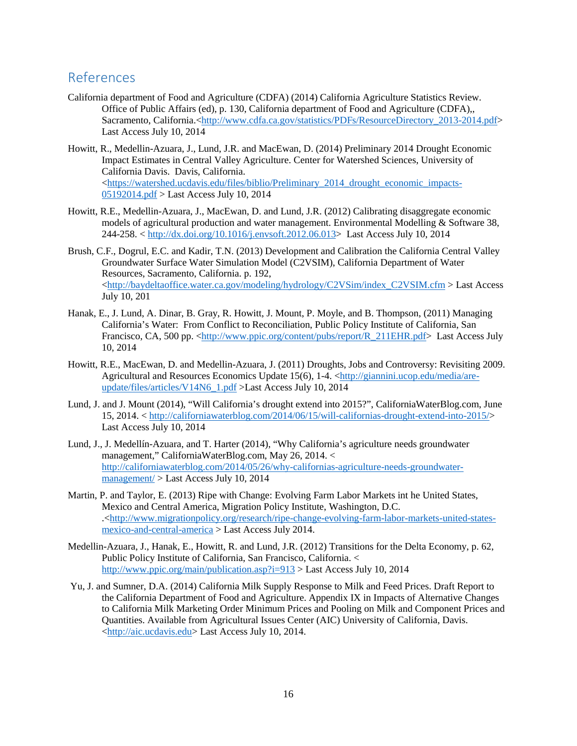## References

- California department of Food and Agriculture (CDFA) (2014) California Agriculture Statistics Review. Office of Public Affairs (ed), p. 130, California department of Food and Agriculture (CDFA),, Sacramento, California.[<http://www.cdfa.ca.gov/statistics/PDFs/ResourceDirectory\\_2013-2014.pdf>](http://www.cdfa.ca.gov/statistics/PDFs/ResourceDirectory_2013-2014.pdf) Last Access July 10, 2014
- Howitt, R., Medellin-Azuara, J., Lund, J.R. and MacEwan, D. (2014) Preliminary 2014 Drought Economic Impact Estimates in Central Valley Agriculture. Center for Watershed Sciences, University of California Davis. Davis, California.  $\lt$ https://watershed.ucdavis.edu/files/biblio/Preliminary 2014 drought economic impacts-[05192014.pdf](https://watershed.ucdavis.edu/files/biblio/Preliminary_2014_drought_economic_impacts-05192014.pdf) > Last Access July 10, 2014
- Howitt, R.E., Medellin-Azuara, J., MacEwan, D. and Lund, J.R. (2012) Calibrating disaggregate economic models of agricultural production and water management. Environmental Modelling & Software 38, 244-258. < [http://dx.doi.org/10.1016/j.envsoft.2012.06.013>](http://dx.doi.org/10.1016/j.envsoft.2012.06.013) Last Access July 10, 2014
- Brush, C.F., Dogrul, E.C. and Kadir, T.N. (2013) Development and Calibration the California Central Valley Groundwater Surface Water Simulation Model (C2VSIM), California Department of Water Resources, Sacramento, California. p. 192, [<http://baydeltaoffice.water.ca.gov/modeling/hydrology/C2VSim/index\\_C2VSIM.cfm](http://baydeltaoffice.water.ca.gov/modeling/hydrology/C2VSim/index_C2VSIM.cfm) > Last Access July 10, 201
- Hanak, E., J. Lund, A. Dinar, B. Gray, R. Howitt, J. Mount, P. Moyle, and B. Thompson, (2011) Managing California's Water: From Conflict to Reconciliation, Public Policy Institute of California, San Francisco, CA, 500 pp. [<http://www.ppic.org/content/pubs/report/R\\_211EHR.pdf>](http://www.ppic.org/content/pubs/report/R_211EHR.pdf) Last Access July 10, 2014
- Howitt, R.E., MacEwan, D. and Medellin-Azuara, J. (2011) Droughts, Jobs and Controversy: Revisiting 2009. Agricultural and Resources Economics Update 15(6), 1-4. [<http://giannini.ucop.edu/media/are](http://giannini.ucop.edu/media/are-update/files/articles/V14N6_1.pdf)[update/files/articles/V14N6\\_1.pdf](http://giannini.ucop.edu/media/are-update/files/articles/V14N6_1.pdf) >Last Access July 10, 2014
- Lund, J. and J. Mount (2014), "Will California's drought extend into 2015?", CaliforniaWaterBlog.com, June 15, 2014. < [http://californiawaterblog.com/2014/06/15/will-californias-drought-extend-into-2015/>](http://californiawaterblog.com/2014/06/15/will-californias-drought-extend-into-2015/) Last Access July 10, 2014
- Lund, J., J. Medellín-Azuara, and T. Harter (2014), "Why California's agriculture needs groundwater management," CaliforniaWaterBlog.com, May 26, 2014. < [http://californiawaterblog.com/2014/05/26/why-californias-agriculture-needs-groundwater](http://californiawaterblog.com/2014/05/26/why-californias-agriculture-needs-groundwater-management/)[management/](http://californiawaterblog.com/2014/05/26/why-californias-agriculture-needs-groundwater-management/) > Last Access July 10, 2014
- Martin, P. and Taylor, E. (2013) Ripe with Change: Evolving Farm Labor Markets int he United States, Mexico and Central America, Migration Policy Institute, Washington, D.C. .[<http://www.migrationpolicy.org/research/ripe-change-evolving-farm-labor-markets-united-states](http://www.migrationpolicy.org/research/ripe-change-evolving-farm-labor-markets-united-states-mexico-and-central-america)[mexico-and-central-america](http://www.migrationpolicy.org/research/ripe-change-evolving-farm-labor-markets-united-states-mexico-and-central-america) > Last Access July 2014.
- Medellin-Azuara, J., Hanak, E., Howitt, R. and Lund, J.R. (2012) Transitions for the Delta Economy, p. 62, Public Policy Institute of California, San Francisco, California. < <http://www.ppic.org/main/publication.asp?i=913> > Last Access July 10, 2014
- Yu, J. and Sumner, D.A. (2014) California Milk Supply Response to Milk and Feed Prices. Draft Report to the California Department of Food and Agriculture. Appendix IX in Impacts of Alternative Changes to California Milk Marketing Order Minimum Prices and Pooling on Milk and Component Prices and Quantities. Available from Agricultural Issues Center (AIC) University of California, Davis. [<http://aic.ucdavis.edu>](http://aic.ucdavis.edu/) Last Access July 10, 2014.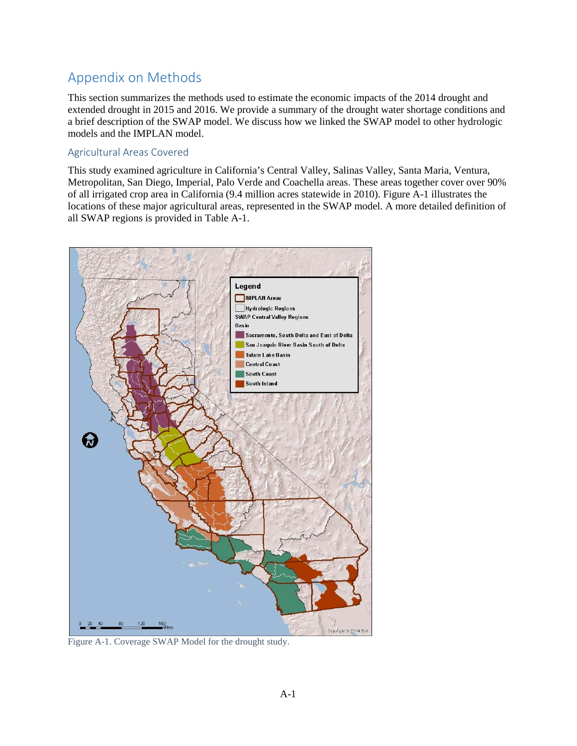# Appendix on Methods

This section summarizes the methods used to estimate the economic impacts of the 2014 drought and extended drought in 2015 and 2016. We provide a summary of the drought water shortage conditions and a brief description of the SWAP model. We discuss how we linked the SWAP model to other hydrologic models and the IMPLAN model.

#### Agricultural Areas Covered

This study examined agriculture in California's Central Valley, Salinas Valley, Santa Maria, Ventura, Metropolitan, San Diego, Imperial, Palo Verde and Coachella areas. These areas together cover over 90% of all irrigated crop area in California (9.4 million acres statewide in 2010). Figure A-1 illustrates the locations of these major agricultural areas, represented in the SWAP model. A more detailed definition of all SWAP regions is provided in Table A-1.



Figure A-1. Coverage SWAP Model for the drought study.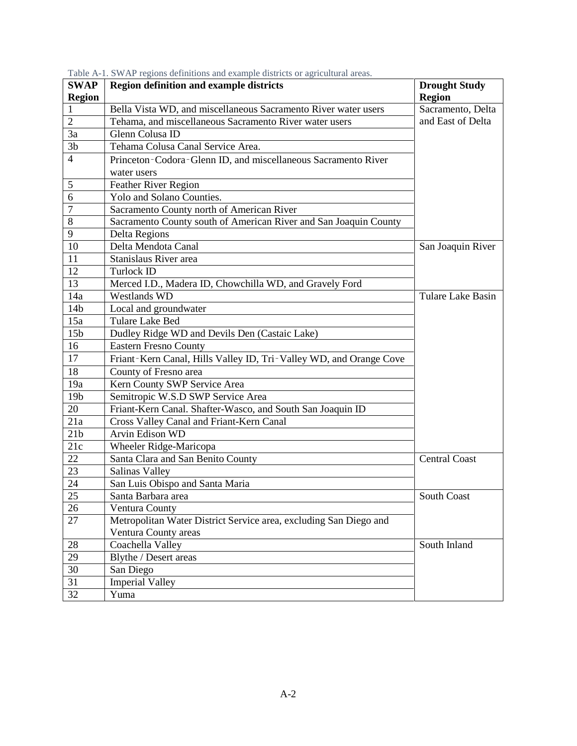| <b>SWAP</b>     | <b>Region definition and example districts</b>                     | <b>Drought Study</b> |
|-----------------|--------------------------------------------------------------------|----------------------|
| <b>Region</b>   |                                                                    | <b>Region</b>        |
|                 | Bella Vista WD, and miscellaneous Sacramento River water users     | Sacramento, Delta    |
| $\overline{2}$  | Tehama, and miscellaneous Sacramento River water users             | and East of Delta    |
| 3a              | Glenn Colusa ID                                                    |                      |
| 3 <sub>b</sub>  | Tehama Colusa Canal Service Area.                                  |                      |
| $\overline{4}$  | Princeton-Codora-Glenn ID, and miscellaneous Sacramento River      |                      |
|                 | water users                                                        |                      |
| $\mathfrak s$   | Feather River Region                                               |                      |
| 6               | Yolo and Solano Counties.                                          |                      |
| $\overline{7}$  | Sacramento County north of American River                          |                      |
| 8               | Sacramento County south of American River and San Joaquin County   |                      |
| 9               | Delta Regions                                                      |                      |
| 10              | Delta Mendota Canal                                                | San Joaquin River    |
| 11              | Stanislaus River area                                              |                      |
| 12              | Turlock ID                                                         |                      |
| 13              | Merced I.D., Madera ID, Chowchilla WD, and Gravely Ford            |                      |
| 14a             | <b>Westlands WD</b>                                                | Tulare Lake Basin    |
| 14 <sub>b</sub> | Local and groundwater                                              |                      |
| 15a             | Tulare Lake Bed                                                    |                      |
| 15 <sub>b</sub> | Dudley Ridge WD and Devils Den (Castaic Lake)                      |                      |
| 16              | <b>Eastern Fresno County</b>                                       |                      |
| 17              | Friant-Kern Canal, Hills Valley ID, Tri-Valley WD, and Orange Cove |                      |
| 18              | County of Fresno area                                              |                      |
| 19a             | Kern County SWP Service Area                                       |                      |
| 19 <sub>b</sub> | Semitropic W.S.D SWP Service Area                                  |                      |
| 20              | Friant-Kern Canal. Shafter-Wasco, and South San Joaquin ID         |                      |
| 21a             | Cross Valley Canal and Friant-Kern Canal                           |                      |
| 21 <sub>b</sub> | Arvin Edison WD                                                    |                      |
| 21c             | Wheeler Ridge-Maricopa                                             |                      |
| 22              | Santa Clara and San Benito County                                  | <b>Central Coast</b> |
| 23              | Salinas Valley                                                     |                      |
| 24              | San Luis Obispo and Santa Maria                                    |                      |
| 25              | Santa Barbara area                                                 | South Coast          |
| 26              | Ventura County                                                     |                      |
| 27              | Metropolitan Water District Service area, excluding San Diego and  |                      |
|                 | Ventura County areas                                               |                      |
| 28              | Coachella Valley                                                   | South Inland         |
| 29              | Blythe / Desert areas                                              |                      |
| 30              | San Diego                                                          |                      |
| 31              | <b>Imperial Valley</b>                                             |                      |
| 32              | Yuma                                                               |                      |

Table A-1. SWAP regions definitions and example districts or agricultural areas.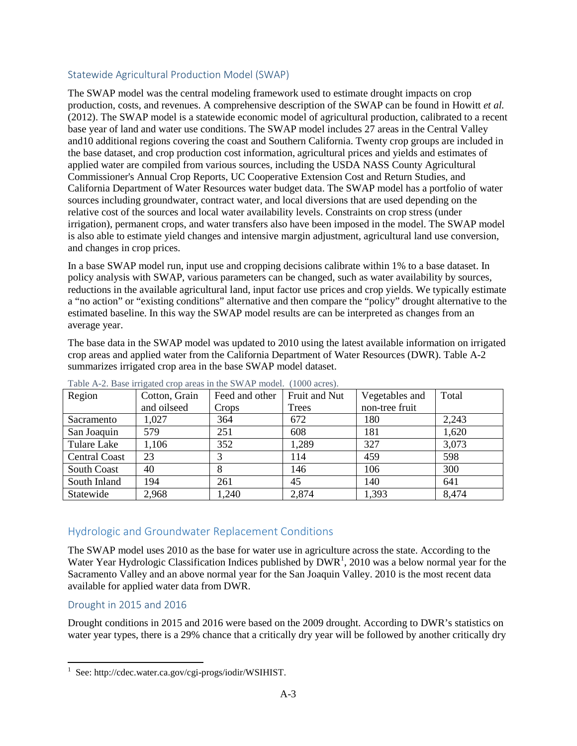#### Statewide Agricultural Production Model (SWAP)

The SWAP model was the central modeling framework used to estimate drought impacts on crop production, costs, and revenues. A comprehensive description of the SWAP can be found in Howitt *et al.*  (2012). The SWAP model is a statewide economic model of agricultural production, calibrated to a recent base year of land and water use conditions. The SWAP model includes 27 areas in the Central Valley and10 additional regions covering the coast and Southern California. Twenty crop groups are included in the base dataset, and crop production cost information, agricultural prices and yields and estimates of applied water are compiled from various sources, including the USDA NASS County Agricultural Commissioner's Annual Crop Reports, UC Cooperative Extension Cost and Return Studies, and California Department of Water Resources water budget data. The SWAP model has a portfolio of water sources including groundwater, contract water, and local diversions that are used depending on the relative cost of the sources and local water availability levels. Constraints on crop stress (under irrigation), permanent crops, and water transfers also have been imposed in the model. The SWAP model is also able to estimate yield changes and intensive margin adjustment, agricultural land use conversion, and changes in crop prices.

In a base SWAP model run, input use and cropping decisions calibrate within 1% to a base dataset. In policy analysis with SWAP, various parameters can be changed, such as water availability by sources, reductions in the available agricultural land, input factor use prices and crop yields. We typically estimate a "no action" or "existing conditions" alternative and then compare the "policy" drought alternative to the estimated baseline. In this way the SWAP model results are can be interpreted as changes from an average year.

The base data in the SWAP model was updated to 2010 using the latest available information on irrigated crop areas and applied water from the California Department of Water Resources (DWR). Table A-2 summarizes irrigated crop area in the base SWAP model dataset.

| Region               | Cotton, Grain | Feed and other | Fruit and Nut | Vegetables and | Total |
|----------------------|---------------|----------------|---------------|----------------|-------|
|                      | and oilseed   | Crops          | Trees         | non-tree fruit |       |
| Sacramento           | 1,027         | 364            | 672           | 180            | 2,243 |
| San Joaquin          | 579           | 251            | 608           | 181            | 1,620 |
| Tulare Lake          | 1,106         | 352            | 1,289         | 327            | 3,073 |
| <b>Central Coast</b> | 23            | 3              | 114           | 459            | 598   |
| South Coast          | 40            | 8              | 146           | 106            | 300   |
| South Inland         | 194           | 261            | 45            | 140            | 641   |
| Statewide            | 2,968         | 1,240          | 2,874         | 1,393          | 8,474 |

Table A-2. Base irrigated crop areas in the SWAP model. (1000 acres).

## Hydrologic and Groundwater Replacement Conditions

The SWAP model uses 2010 as the base for water use in agriculture across the state. According to the Water Year Hydrologic Classification Indices published by  $DWR<sup>1</sup>$  $DWR<sup>1</sup>$  $DWR<sup>1</sup>$ , 2010 was a below normal year for the Sacramento Valley and an above normal year for the San Joaquin Valley. 2010 is the most recent data available for applied water data from DWR.

#### Drought in 2015 and 2016

Drought conditions in 2015 and 2016 were based on the 2009 drought. According to DWR's statistics on water year types, there is a 29% chance that a critically dry year will be followed by another critically dry

<span id="page-23-0"></span><sup>|&</sup>lt;br>|<br>| <sup>1</sup> See: http://cdec.water.ca.gov/cgi-progs/iodir/WSIHIST.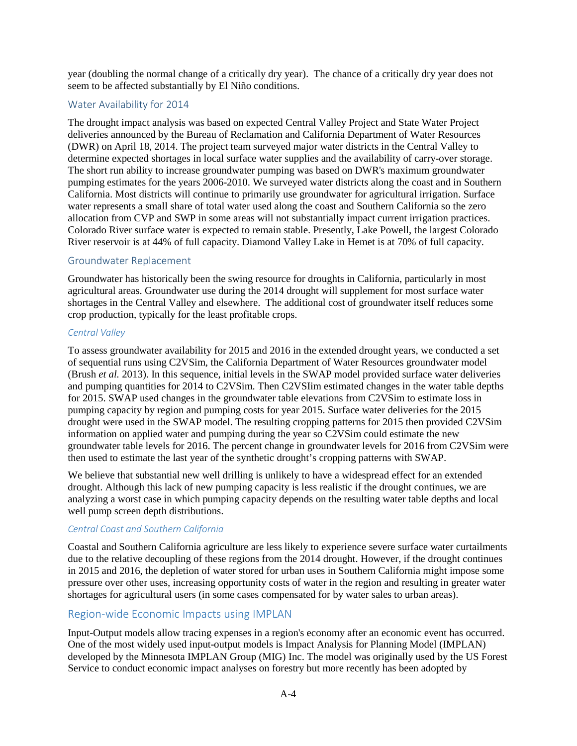year (doubling the normal change of a critically dry year). The chance of a critically dry year does not seem to be affected substantially by El Niño conditions.

#### Water Availability for 2014

The drought impact analysis was based on expected Central Valley Project and State Water Project deliveries announced by the Bureau of Reclamation and California Department of Water Resources (DWR) on April 18, 2014. The project team surveyed major water districts in the Central Valley to determine expected shortages in local surface water supplies and the availability of carry-over storage. The short run ability to increase groundwater pumping was based on DWR's maximum groundwater pumping estimates for the years 2006-2010. We surveyed water districts along the coast and in Southern California. Most districts will continue to primarily use groundwater for agricultural irrigation. Surface water represents a small share of total water used along the coast and Southern California so the zero allocation from CVP and SWP in some areas will not substantially impact current irrigation practices. Colorado River surface water is expected to remain stable. Presently, Lake Powell, the largest Colorado River reservoir is at 44% of full capacity. Diamond Valley Lake in Hemet is at 70% of full capacity.

#### Groundwater Replacement

Groundwater has historically been the swing resource for droughts in California, particularly in most agricultural areas. Groundwater use during the 2014 drought will supplement for most surface water shortages in the Central Valley and elsewhere. The additional cost of groundwater itself reduces some crop production, typically for the least profitable crops.

#### *Central Valley*

To assess groundwater availability for 2015 and 2016 in the extended drought years, we conducted a set of sequential runs using C2VSim, the California Department of Water Resources groundwater model (Brush *et al.* 2013). In this sequence, initial levels in the SWAP model provided surface water deliveries and pumping quantities for 2014 to C2VSim. Then C2VSIim estimated changes in the water table depths for 2015. SWAP used changes in the groundwater table elevations from C2VSim to estimate loss in pumping capacity by region and pumping costs for year 2015. Surface water deliveries for the 2015 drought were used in the SWAP model. The resulting cropping patterns for 2015 then provided C2VSim information on applied water and pumping during the year so C2VSim could estimate the new groundwater table levels for 2016. The percent change in groundwater levels for 2016 from C2VSim were then used to estimate the last year of the synthetic drought's cropping patterns with SWAP.

We believe that substantial new well drilling is unlikely to have a widespread effect for an extended drought. Although this lack of new pumping capacity is less realistic if the drought continues, we are analyzing a worst case in which pumping capacity depends on the resulting water table depths and local well pump screen depth distributions.

#### *Central Coast and Southern California*

Coastal and Southern California agriculture are less likely to experience severe surface water curtailments due to the relative decoupling of these regions from the 2014 drought. However, if the drought continues in 2015 and 2016, the depletion of water stored for urban uses in Southern California might impose some pressure over other uses, increasing opportunity costs of water in the region and resulting in greater water shortages for agricultural users (in some cases compensated for by water sales to urban areas).

#### Region-wide Economic Impacts using IMPLAN

Input-Output models allow tracing expenses in a region's economy after an economic event has occurred. One of the most widely used input-output models is Impact Analysis for Planning Model (IMPLAN) developed by the Minnesota IMPLAN Group (MIG) Inc. The model was originally used by the US Forest Service to conduct economic impact analyses on forestry but more recently has been adopted by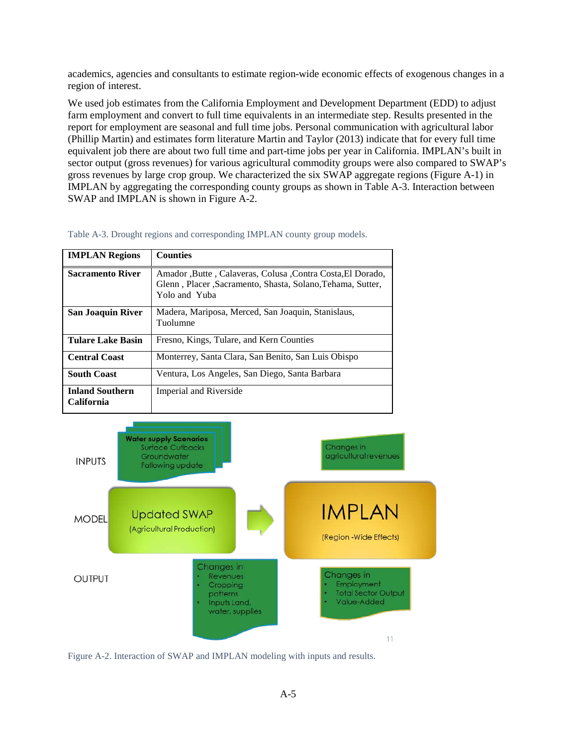academics, agencies and consultants to estimate region-wide economic effects of exogenous changes in a region of interest.

We used job estimates from the California Employment and Development Department (EDD) to adjust farm employment and convert to full time equivalents in an intermediate step. Results presented in the report for employment are seasonal and full time jobs. Personal communication with agricultural labor (Phillip Martin) and estimates form literature Martin and Taylor (2013) indicate that for every full time equivalent job there are about two full time and part-time jobs per year in California. IMPLAN's built in sector output (gross revenues) for various agricultural commodity groups were also compared to SWAP's gross revenues by large crop group. We characterized the six SWAP aggregate regions (Figure A-1) in IMPLAN by aggregating the corresponding county groups as shown in Table A-3. Interaction between SWAP and IMPLAN is shown in Figure A-2.

| <b>IMPLAN Regions</b>                | <b>Counties</b>                                                                                                                             |
|--------------------------------------|---------------------------------------------------------------------------------------------------------------------------------------------|
| <b>Sacramento River</b>              | Amador , Butte, Calaveras, Colusa , Contra Costa, El Dorado,<br>Glenn, Placer, Sacramento, Shasta, Solano, Tehama, Sutter,<br>Yolo and Yuba |
| <b>San Joaquin River</b>             | Madera, Mariposa, Merced, San Joaquin, Stanislaus,<br>Tuolumne                                                                              |
| Tulare Lake Basin                    | Fresno, Kings, Tulare, and Kern Counties                                                                                                    |
| <b>Central Coast</b>                 | Monterrey, Santa Clara, San Benito, San Luis Obispo                                                                                         |
| <b>South Coast</b>                   | Ventura, Los Angeles, San Diego, Santa Barbara                                                                                              |
| <b>Inland Southern</b><br>California | Imperial and Riverside                                                                                                                      |

Table A-3. Drought regions and corresponding IMPLAN county group models.



Figure A-2. Interaction of SWAP and IMPLAN modeling with inputs and results.